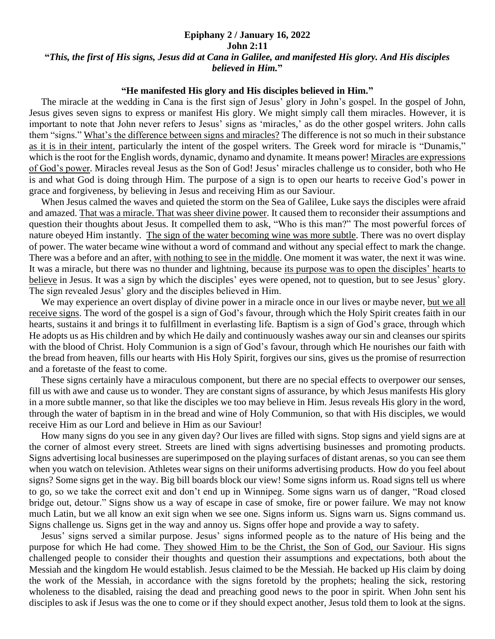## **Epiphany 2 / January 16, 2022**

## **John 2:11**

## **"***This, the first of His signs, Jesus did at Cana in Galilee, and manifested His glory. And His disciples believed in Him.***"**

## **"He manifested His glory and His disciples believed in Him."**

 The miracle at the wedding in Cana is the first sign of Jesus' glory in John's gospel. In the gospel of John, Jesus gives seven signs to express or manifest His glory. We might simply call them miracles. However, it is important to note that John never refers to Jesus' signs as 'miracles,' as do the other gospel writers. John calls them "signs." What's the difference between signs and miracles? The difference is not so much in their substance as it is in their intent, particularly the intent of the gospel writers. The Greek word for miracle is "Dunamis," which is the root for the English words, dynamic, dynamo and dynamite. It means power! Miracles are expressions of God's power. Miracles reveal Jesus as the Son of God! Jesus' miracles challenge us to consider, both who He is and what God is doing through Him. The purpose of a sign is to open our hearts to receive God's power in grace and forgiveness, by believing in Jesus and receiving Him as our Saviour.

 When Jesus calmed the waves and quieted the storm on the Sea of Galilee, Luke says the disciples were afraid and amazed. That was a miracle. That was sheer divine power. It caused them to reconsider their assumptions and question their thoughts about Jesus. It compelled them to ask, "Who is this man?" The most powerful forces of nature obeyed Him instantly. The sign of the water becoming wine was more subtle. There was no overt display of power. The water became wine without a word of command and without any special effect to mark the change. There was a before and an after, with nothing to see in the middle. One moment it was water, the next it was wine. It was a miracle, but there was no thunder and lightning, because its purpose was to open the disciples' hearts to believe in Jesus. It was a sign by which the disciples' eyes were opened, not to question, but to see Jesus' glory. The sign revealed Jesus' glory and the disciples believed in Him.

 We may experience an overt display of divine power in a miracle once in our lives or maybe never, but we all receive signs. The word of the gospel is a sign of God's favour, through which the Holy Spirit creates faith in our hearts, sustains it and brings it to fulfillment in everlasting life. Baptism is a sign of God's grace, through which He adopts us as His children and by which He daily and continuously washes away our sin and cleanses our spirits with the blood of Christ. Holy Communion is a sign of God's favour, through which He nourishes our faith with the bread from heaven, fills our hearts with His Holy Spirit, forgives our sins, gives us the promise of resurrection and a foretaste of the feast to come.

 These signs certainly have a miraculous component, but there are no special effects to overpower our senses, fill us with awe and cause us to wonder. They are constant signs of assurance, by which Jesus manifests His glory in a more subtle manner, so that like the disciples we too may believe in Him. Jesus reveals His glory in the word, through the water of baptism in in the bread and wine of Holy Communion, so that with His disciples, we would receive Him as our Lord and believe in Him as our Saviour!

 How many signs do you see in any given day? Our lives are filled with signs. Stop signs and yield signs are at the corner of almost every street. Streets are lined with signs advertising businesses and promoting products. Signs advertising local businesses are superimposed on the playing surfaces of distant arenas, so you can see them when you watch on television. Athletes wear signs on their uniforms advertising products. How do you feel about signs? Some signs get in the way. Big bill boards block our view! Some signs inform us. Road signs tell us where to go, so we take the correct exit and don't end up in Winnipeg. Some signs warn us of danger, "Road closed bridge out, detour." Signs show us a way of escape in case of smoke, fire or power failure. We may not know much Latin, but we all know an exit sign when we see one. Signs inform us. Signs warn us. Signs command us. Signs challenge us. Signs get in the way and annoy us. Signs offer hope and provide a way to safety.

 Jesus' signs served a similar purpose. Jesus' signs informed people as to the nature of His being and the purpose for which He had come. They showed Him to be the Christ, the Son of God, our Saviour. His signs challenged people to consider their thoughts and question their assumptions and expectations, both about the Messiah and the kingdom He would establish. Jesus claimed to be the Messiah. He backed up His claim by doing the work of the Messiah, in accordance with the signs foretold by the prophets; healing the sick, restoring wholeness to the disabled, raising the dead and preaching good news to the poor in spirit. When John sent his disciples to ask if Jesus was the one to come or if they should expect another, Jesus told them to look at the signs.